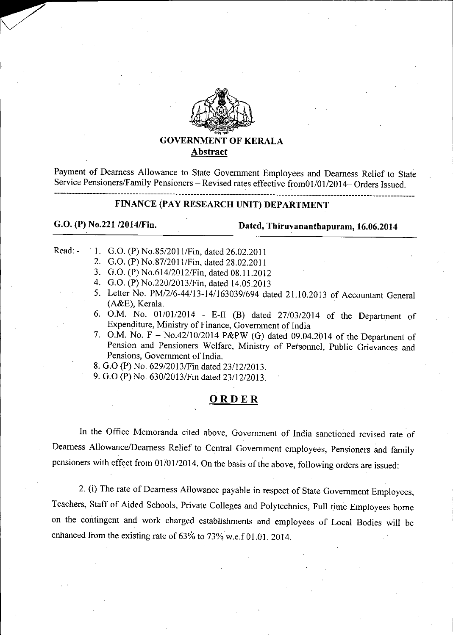

Payment of Dearness Allowance to State Government Employees and Dearness Relief to State Service Pensioners/Family Pensioners - Revised rates effective fromOl/01/2014— Orders Issued.

## **FINANCE (PAY RESEARCH UNIT) DEPARTMENT**

# **G.O. (P) No.221 /2014/Fin. Dated, Thiruvananthapuram, 16.06.2014**

Read: - 1. G.O. (P) No.85/2011/Fin, dated 26.02.2011

- G.O. (P) No.87/2011/Fin, dated 28.02.2011
- G.O. (P) No.614/2012/Fin, dated 08.11.2012
- 4. G.O. (P) No.220/2013/Fin, dated 14.05.2013
- Letter No. PM/2/6-44/13-14/163039/694 dated 21.10.2013 of Accountant General (A&E), Kerala.
- O.M. No. 01/01/2014 E-II (B) dated 27/03/2014 of the Department of Expenditure, Ministry of Finance, Government of India
- 7. O.M. No.  $F No.42/10/2014$  P&PW (G) dated 09.04.2014 of the Department of Pension and Pensioners Welfare, Ministry of Personnel, Public Grievances and Pensions, Government of India.
- 8. G.O (P) No. 629/2013/Fin dated 23/12/2013.

0.0 (P) No. 630/2013/Fin dated 23/12/2013.

## **ORDER**

In the Office Memoranda cited above, Government of India sanctioned revised rate of Dearness Allowance/Dearness Relief to Central Government employees, Pensioners and family pensioners with effect from 01/01/2014. On the basis of the above, following orders are issued:

2. (i) The rate of Dearness Allowance payable in respect of State Government Employees, Teachers, Staff of Aided Schools, Private Colleges and Polytechnics, Full time Employees borne on the contingent and work charged establishments and employees of Local Bodies will be enhanced from the existing rate of 63% to 73% w.e.f 01.01. 2014.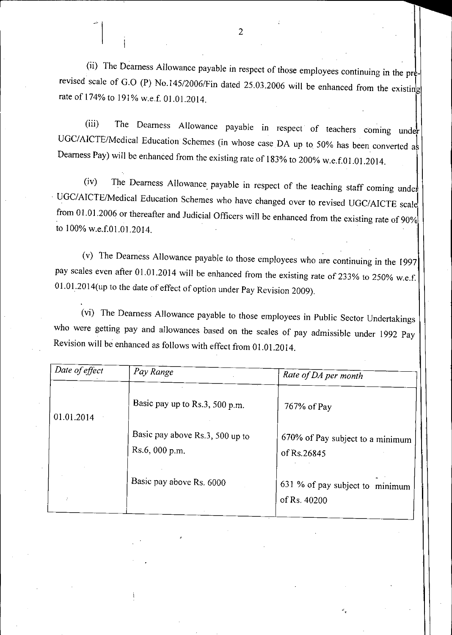(ii) The Dearness Allowance payable in respect of those employees continuing in the prerevised scale of G.O (P) No.145/2006/Fin dated 25.03.2006 will be enhanced from the existing rate of 174% to 191% w.e.f. 01.01.2014.

The Dearness Allowance payable in respect of teachers coming under  $(iii)$ UGC/AICTE/Medical Education Schemes (in whose case DA up to 50% has been converted as Dearness Pay) will be enhanced from the existing rate of 183% to 200% w.e.f.01.01.2014.

The Dearness Allowance payable in respect of the teaching staff coming under  $(iv)$ UGC/AICTE/Medical Education Schemes who have changed over to revised UGC/AICTE scale from 01.01.2006 or thereafter and Judicial Officers will be enhanced from the existing rate of 90% to I00%w.e.f.Ol.01.2014

(v) The Dearness Allowance payable to those employees who are continuing in the 1997 pay scales even after 01.01.2014 will be enhanced from the existing rate of 233% to 250% w.e.f. 01.01.2014(up to the date of effect of option under Pay Revision 2009).

(vi) The Dearness Allowance payable to those employees in Public Sector Undertakings Revision will be enhanced as follows with effect from 01.01.2014.

| Date of effect | Pay Range                                         | Rate of DA per month                            |  |
|----------------|---------------------------------------------------|-------------------------------------------------|--|
| 01.01.2014     | Basic pay up to Rs.3, 500 p.m.                    | 767% of Pay                                     |  |
|                | Basic pay above Rs.3, 500 up to<br>Rs.6, 000 p.m. | 670% of Pay subject to a minimum<br>of Rs.26845 |  |
|                | Basic pay above Rs. 6000                          | 631 % of pay subject to minimum<br>of Rs. 40200 |  |

2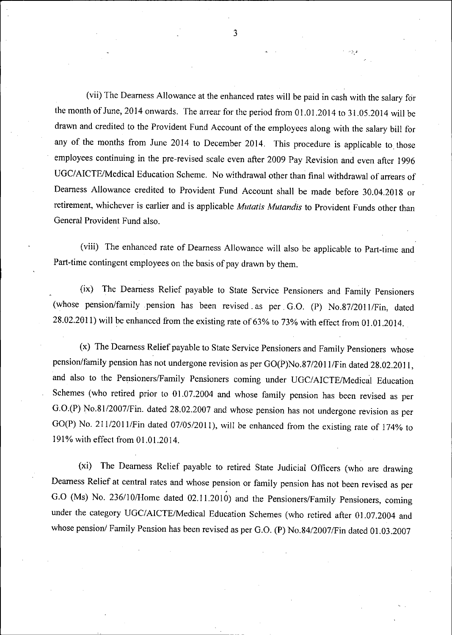(vii) The Dearness Allowance at the enhanced rates will be paid in cash with the salary for the month of June, 2014 onwards. The arrear for the period from 01.01.2014 to 31.05.2014 will be drawn and credited to the Provident Fund Account of the employees along with the salary bill for any of the months from June 2014 to December 2014. This procedure is applicable to those employees continuing in the pre-revised scale even after 2009 Pay Revision and even after 1996 UGC/AICTE/Medical Education Scheme. No withdrawal other than final withdrawal of arrears of Dearness Allowance credited to Provident Fund Account shall be made before 30.04.2018 or retirement, whichever is earlier and is applicable *Mutatis Mutandis* to Provident Funds other than General Provident Fund also.

The enhanced rate of Dearness Allowance will also be applicable to Part-time and Part-time contingent employees on the basis of pay drawn by them.

The Dearness Relief payable to State Service Pensioners and Family Pensioners (whose pension/family pension has been revised . as per GO. (P) No.87/2011/Fin, dated 28.02.2011) will be enhanced from the existing rate of 63% to 73% with effect from 01.01.2014.

The Dearness Relief payable to State Service Pensioners and Family Pensioners whose pension/family pension has not undergone revision as per GO(P)No.87/201 1/Fin dated 28.02.2011, and also to the Pensioners/Family Pensioners coming under UGC/AICTE/Medical Education Schemes (who retired prior to 01.07.2004 and whose family pension has been revised as per G.O.(P) No.81/2007/Fin, dated 28.02.2007 and whose pension has not undergone revision as per GO(P) No. 211/2011/Fin dated 07/05/2011), will be enhanced from the existing rate of 174% to 191% with effect from 01.01.2014.

The Dearness Relief payable to retired State Judicial Officers (who are drawing Dearness Relief at central rates and whose pension or family pension has not been revised as per G.O (Ms) No. 236/10/Home dated 02.11.2010) and the Pensioners/Family Pensioners, coming under the category UGC/AICTE/Medical Education Schemes (who retired after 01.07.2004 and whose pension/ Family Pension has been revised as per G.O. (P) No.84/2007/Fin dated 01.03.2007

I

一会。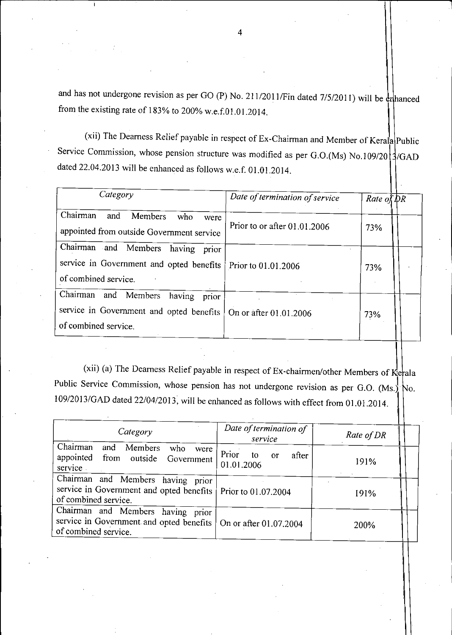and has not undergone revision as per GO (P) No. 211/2011/Fin dated 7/5/2011) will be enhanced from the existing rate of 183% to 200% w.e.f.01 .01.2014.

(xii) The Dearness Relief payable in respect of Ex-Chairman and Member of Kerala Public Service Commission, whose pension structure was modified as per G.O.(Ms) No.109/2013/GAD dated 22.04.2013 will be enhanced as follows w.e.f. 01.01.2014.

| Category                                                                                                                       | Date of termination of service | Rate $\partial_h^k \mathcal{D}R$ |
|--------------------------------------------------------------------------------------------------------------------------------|--------------------------------|----------------------------------|
| Chairman<br>and<br>Members<br>who<br>were<br>appointed from outside Government service                                         | Prior to or after 01.01.2006   | 73%                              |
| Chairman and Members having<br>prior<br>service in Government and opted benefits   Prior to 01.01.2006<br>of combined service. |                                | 73%                              |
| Chairman<br>and Members<br>having<br>prior<br>service in Government and opted benefits  <br>of combined service.               | On or after 01.01.2006         | 73%                              |

(xii) (a) The Dearness Relief payable in respect of Ex-chairmen/other Members of Kerala Public Service Commission, whose pension has not undergone revision as per G.O. (Ms.) No. 109/2013/GAD dated 22/04/2013 will be enhanced as follows with effect from 01.01.2014.

| Category                                                                                                                       | Date of termination of<br>service              | Rate of DR |  |
|--------------------------------------------------------------------------------------------------------------------------------|------------------------------------------------|------------|--|
| Chairman<br>and Members<br>who<br>were<br>appointed from outside Government<br>service                                         | Prior<br>after<br>to<br>$\alpha$<br>01.01.2006 | 191%       |  |
| Chairman and Members having prior<br>service in Government and opted benefits   Prior to 01.07.2004<br>of combined service.    |                                                | 191%       |  |
| Chairman and Members having prior<br>service in Government and opted benefits   On or after 01.07.2004<br>of combined service. |                                                | 200%       |  |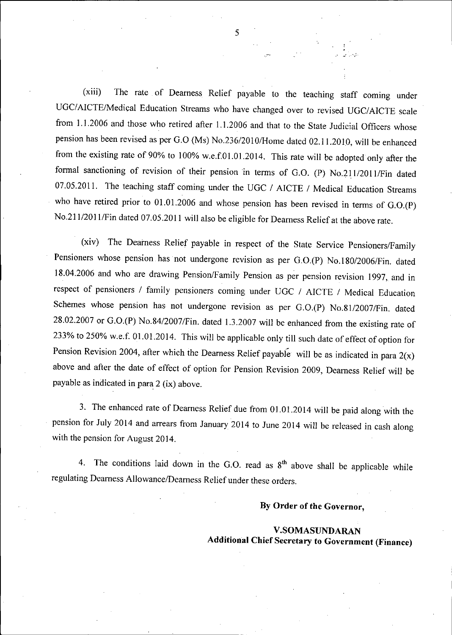The rate of Dearness Relief payable to the teaching staff coming under  $(xiii)$ UGC/AICTE/Medical Education Streams who have changed over to revised UGC/AICTE scale from 1.1.2006 and those who retired after 1.1.2006 and that to the State Judicial Officers whose pension has been revised as per G.O (Ms) No.236/2010/Home dated 02.11.2010, will be enhanced from the existing rate of 90% to 100% w.e.f.01.01.2014. This rate will be adopted only after the formal sanctioning of revision of their pension in terms of G.O. (P) No.211/201 1/Fin dated 07.05.2011. The teaching staff coming under the UGC / AICTE / Medical Education Streams who have retired prior to 01.01.2006 and whose pension has been revised in terms of G.O.(P) No.211/201 1/Fin dated 07.05.2011 will also be eligible for Dearness Relief at the above rate.

The Dearness Relief payable in respect of the State Service Pensioners/Family Pensioners whose pension has not undergone revision as per G.O.(P) No.180/2006/Fin, dated 18.04.2006 and who are drawing Pension/Family Pension as per pension revision 1997, and in respect of pensioners / family pensioners coming under UGC / AICTE / Medical Education Schemes whose pension has not undergone revision as per G.O.(P) No.81/2007/Fin, dated 28.02.2007 or G.O.(P) No.84/2007/Fin, dated 1.3.2007 will be enhanced from the existing rate of 233% to 250% w.e.f. 91.01.2014. This will be applicable only till such date of effect of option for Pension Revision 2004, after which the Dearness Relief payable will be as indicated in para  $2(x)$ above and after the date of effect of option for Pension Revision 2009, Dearness Relief will be payable as indicated in para 2 (ix) above.

The enhanced rate of Dearness Relief due from 01.01.2014 will be paid along with the pension for July 2014 and arrears from January 2014 to June 2014 will be released in cash along with the pension for August 2014.

4. The conditions laid down in the G.O. read as  $8<sup>th</sup>$  above shall be applicable while regulating Dearness Allowance/Dearness Relief under these orders.

### **By Order of the Governor,**

## **V.SOMASUNDARAN Additional Chief Secretary to Government (Finance)**

5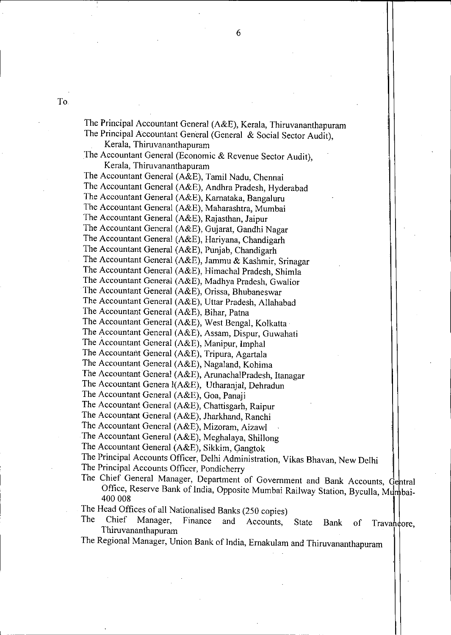The Principal Accountant General (A&E), Kerala, Thiruvananthapuram The Principal Accountant General (General & Social Sector Audit),

Kerala, Thiruvananthapuram

The Accountant General (Economic & Revenue Sector Audit), Kerala, Thiruvananthapuram

The Accountant General (A&E), Tamil Nadu, Chennai The Accountant General (A&E), Andhra Pradesh, Hyderabad The Accountant General (A&E), Karnataka, Bangaluru The Accountant General (A&E), Maharashtra, Mumbai The Accountant General (A&E), Rajasthan, Jaipur The Accountant General (A&E), Gujarat, Gandhi Nagar The Accountant General (A&E), Hariyana, Chandigarh The Accountant General (A&E), Punjab, Chandigarh The Accountant General (A&E), Jammu & Kashmir, Srinagar The Accountant General (A&E), Himachal Pradesh, Shimla The Accountant General (A&E), Madhya Pradesh, Gwalior The Accountant General (A&E), Orissa, Bhubaneswar The Accountant General (A&E), Uttar Pradesh, Allahabad The Accountant General (A&E), Bihar, Patna The Accountant General (A&E), West Bengal, Kolkatta The Accountant General (A&E), Assam, Dispur, Guwahati The Accountant General (A&E), Manipur, Imphal The Accountant General (A&E), Tripura, Agartala The Accountant General (A&E), Nagaland, Kohima The Accountant General (A&E), ArunachaiPradesh, Itanagar The Accountant Genera l(A&E), Utharanjal, Dehradun The Accountant General (A&E), Goa, Panaji The Accountant General (A&E), Chattisgarh, Raipur The Accountant General (A&E), Jharkhand, Ranchi The Accountant General (A&E), Mizoram, Aizawl The Accountant General (A&E), Meghalaya, Shillong The Accountant General (A&E), Sikkim, Gangtok The Principal Accounts Officer, Delhi Administration, Vikas Bhavan, New Delhi The Principal Accounts Officer, Pondicherry

The Chief General Manager, Department of Government and Bank Accounts, Gentral Office, Reserve Bank of India, Opposite Mumbai Railway Station, Byculla, Mumbai-400 008

The Head Offices of all Nationalised Banks (250 copies)<br>The Chief Manager Finance and Accounts

The Chief Manager, Finance and Accounts, State Bank of Trav Thiruvananthapuram

The Regional Manager, Union Bank of India, Emakulam and Thiruvananthapuram

To.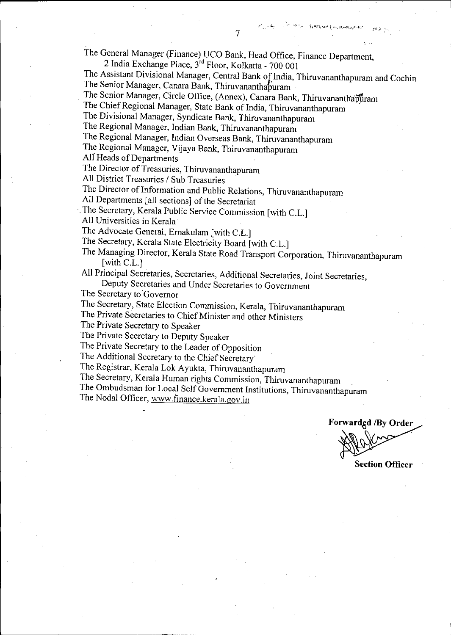The General Manager (Finance) UCO Bank, Head Office, Finance Department,

2 India Exchange Place, 3<sup>rd</sup> Floor, Kolkatta - 700 001

The Assistant Divisional Manager, Central Bank of India, Thiruvananthapuram and Cochin The Senior Manager, Canara Bank, Thiruvananthapuram

The Senior Manager, Circle Office, (Annex), Canara Bank, Thiruvananthapuram

The Chief Regional Manager, State Bank of India, Thiruvananthapuram

The Divisional Manager, Syndicate Bank, Thiruvananthapuram

The Regional Manager, Indian Bank, Thiruvananthapuram

The Regional Manager, Indian Overseas Bank, Thiruvananthapuram

The Regional Manager, Vijaya Bank, Thiruvananthapuram

All Heads of Departments

The Director of Treasuries, Thiruvananthapuram

All District Treasuries / Sub Treasuries

The Director of Information and Public Relations, Thiruvananthapuram

All Departments [all sections] of the Secretariat

The Secretary, Kerala Public Service Commission [with C.L.]

All Universities in Kerala

The Advocate General, Ernakulam [with C.L.]

The Secretary, Kerala State Electricity Board [with CL.]

The Managing Director, Kerala State Road Transport Corporation, Thiruvananthapuram [with C.L.]

All Principal Secretaries, Secretaries, Additional Secretaries, Joint Secretaries, Deputy Secretaries and Under Secretaries to Government

The Secretary to Governor

The Secretary, State Election Commission, Kerala, Thiruvananthapuram

The Private Secretaries to Chief Minister and other Ministers

The Private Secretary to Speaker

The Private Secretary to Deputy Speaker

The Private Secretary to the Leader of Opposition

The Additional Secretary to the Chief Secretary

The Registrar, Kerala Lok Ayukta, Thiruvananthapuram

The Secretary, Kerala Human rights Commission, Thiruvananthapuram

The Ombudsman for Local Self Government Institutions, Thiruvananthapuram

The Nodal Officer, www.finance.kerala.gov.in

Forwardgd /By Order

**Section Officer**